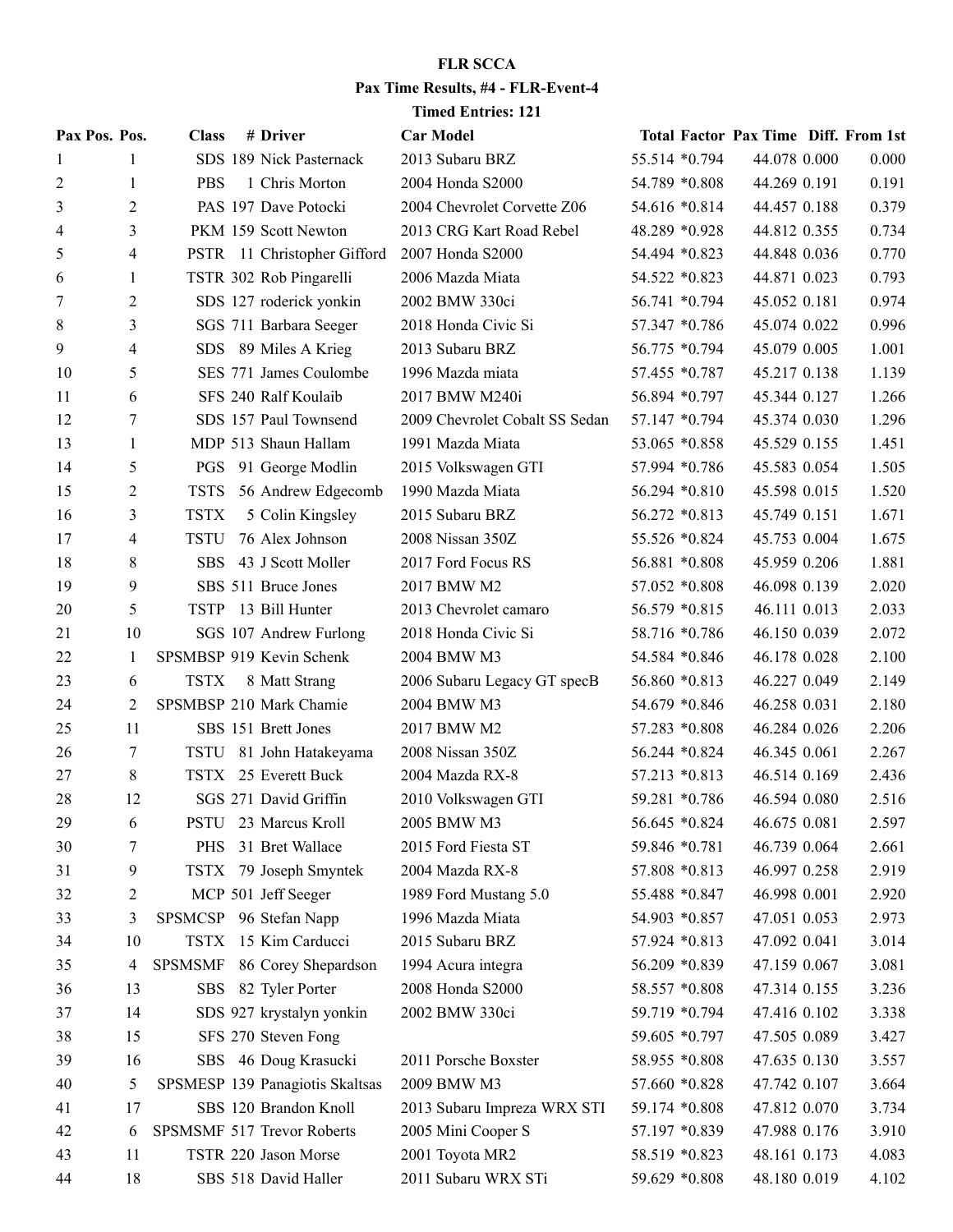## **FLR SCCA Pax Time Results, #4 - FLR-Event-4 Timed Entries: 121**

|    | Pax Pos. Pos. | <b>Class</b>   | # Driver                        | <b>Car Model</b>               |               |                | <b>Total Factor Pax Time Diff. From 1st</b> |       |
|----|---------------|----------------|---------------------------------|--------------------------------|---------------|----------------|---------------------------------------------|-------|
| 1  | 1             |                | SDS 189 Nick Pasternack         | 2013 Subaru BRZ                |               | 55.514 *0.794  | 44.078 0.000                                | 0.000 |
| 2  | 1             | <b>PBS</b>     | 1 Chris Morton                  | 2004 Honda S2000               |               | 54.789 *0.808  | 44.269 0.191                                | 0.191 |
| 3  | 2             |                | PAS 197 Dave Potocki            | 2004 Chevrolet Corvette Z06    |               | 54.616 *0.814  | 44.457 0.188                                | 0.379 |
| 4  | 3             |                | PKM 159 Scott Newton            | 2013 CRG Kart Road Rebel       | 48.289 *0.928 |                | 44.812 0.355                                | 0.734 |
| 5  | 4             |                | PSTR 11 Christopher Gifford     | 2007 Honda S2000               | 54.494 *0.823 |                | 44.848 0.036                                | 0.770 |
| 6  | 1             |                | TSTR 302 Rob Pingarelli         | 2006 Mazda Miata               | 54.522 *0.823 |                | 44.871 0.023                                | 0.793 |
| 7  | 2             |                | SDS 127 roderick yonkin         | 2002 BMW 330ci                 |               | 56.741 *0.794  | 45.052 0.181                                | 0.974 |
| 8  | 3             |                | SGS 711 Barbara Seeger          | 2018 Honda Civic Si            |               | 57.347 *0.786  | 45.074 0.022                                | 0.996 |
| 9  | 4             |                | SDS 89 Miles A Krieg            | 2013 Subaru BRZ                |               | 56.775 *0.794  | 45.079 0.005                                | 1.001 |
| 10 | 5             |                | SES 771 James Coulombe          | 1996 Mazda miata               |               | 57.455 *0.787  | 45.217 0.138                                | 1.139 |
| 11 | 6             |                | SFS 240 Ralf Koulaib            | 2017 BMW M240i                 |               | 56.894 *0.797  | 45.344 0.127                                | 1.266 |
| 12 | 7             |                | SDS 157 Paul Townsend           | 2009 Chevrolet Cobalt SS Sedan |               | 57.147 *0.794  | 45.374 0.030                                | 1.296 |
| 13 | 1             |                | MDP 513 Shaun Hallam            | 1991 Mazda Miata               | 53.065 *0.858 |                | 45.529 0.155                                | 1.451 |
| 14 | 5             |                | PGS 91 George Modlin            | 2015 Volkswagen GTI            |               | 57.994 *0.786  | 45.583 0.054                                | 1.505 |
| 15 | 2             | <b>TSTS</b>    | 56 Andrew Edgecomb              | 1990 Mazda Miata               |               | 56.294 *0.810  | 45.598 0.015                                | 1.520 |
| 16 | 3             | <b>TSTX</b>    | 5 Colin Kingsley                | 2015 Subaru BRZ                | 56.272 *0.813 |                | 45.749 0.151                                | 1.671 |
| 17 | 4             | <b>TSTU</b>    | 76 Alex Johnson                 | 2008 Nissan 350Z               |               | 55.526 *0.824  | 45.753 0.004                                | 1.675 |
| 18 | 8             | SBS            | 43 J Scott Moller               | 2017 Ford Focus RS             |               | 56.881 *0.808  | 45.959 0.206                                | 1.881 |
| 19 | 9             |                | SBS 511 Bruce Jones             | 2017 BMW M2                    | 57.052 *0.808 |                | 46.098 0.139                                | 2.020 |
| 20 | 5             |                | TSTP 13 Bill Hunter             | 2013 Chevrolet camaro          | 56.579 *0.815 |                | 46.111 0.013                                | 2.033 |
| 21 | 10            |                | SGS 107 Andrew Furlong          | 2018 Honda Civic Si            |               | 58.716 *0.786  | 46.150 0.039                                | 2.072 |
| 22 | 1             |                | SPSMBSP 919 Kevin Schenk        | 2004 BMW M3                    |               | 54.584 *0.846  | 46.178 0.028                                | 2.100 |
| 23 | 6             | <b>TSTX</b>    | 8 Matt Strang                   | 2006 Subaru Legacy GT specB    | 56.860 *0.813 |                | 46.227 0.049                                | 2.149 |
| 24 | 2             |                | SPSMBSP 210 Mark Chamie         | 2004 BMW M3                    |               | 54.679 *0.846  | 46.258 0.031                                | 2.180 |
| 25 | 11            |                | SBS 151 Brett Jones             | 2017 BMW M2                    |               | 57.283 *0.808  | 46.284 0.026                                | 2.206 |
| 26 | 7             |                | TSTU 81 John Hatakeyama         | 2008 Nissan 350Z               |               | 56.244 * 0.824 | 46.345 0.061                                | 2.267 |
| 27 | 8             |                | TSTX 25 Everett Buck            | 2004 Mazda RX-8                | 57.213 *0.813 |                | 46.514 0.169                                | 2.436 |
| 28 | 12            |                | SGS 271 David Griffin           | 2010 Volkswagen GTI            |               | 59.281 *0.786  | 46.594 0.080                                | 2.516 |
| 29 | 6             |                | PSTU 23 Marcus Kroll            | 2005 BMW M3                    |               | 56.645 *0.824  | 46.675 0.081                                | 2.597 |
| 30 | 7             | <b>PHS</b>     | 31 Bret Wallace                 | 2015 Ford Fiesta ST            | 59.846 *0.781 |                | 46.739 0.064                                | 2.661 |
| 31 | 9             |                | TSTX 79 Joseph Smyntek          | 2004 Mazda RX-8                | 57.808 *0.813 |                | 46.997 0.258                                | 2.919 |
| 32 | 2             |                | MCP 501 Jeff Seeger             | 1989 Ford Mustang 5.0          | 55.488 *0.847 |                | 46.998 0.001                                | 2.920 |
| 33 | 3             |                | SPSMCSP 96 Stefan Napp          | 1996 Mazda Miata               | 54.903 *0.857 |                | 47.051 0.053                                | 2.973 |
| 34 | 10            |                | TSTX 15 Kim Carducci            | 2015 Subaru BRZ                | 57.924 *0.813 |                | 47.092 0.041                                | 3.014 |
| 35 | 4             | <b>SPSMSMF</b> | 86 Corey Shepardson             | 1994 Acura integra             |               | 56.209 *0.839  | 47.159 0.067                                | 3.081 |
| 36 | 13            |                | SBS 82 Tyler Porter             | 2008 Honda S2000               | 58.557 *0.808 |                | 47.314 0.155                                | 3.236 |
| 37 | 14            |                | SDS 927 krystalyn yonkin        | 2002 BMW 330ci                 |               | 59.719 *0.794  | 47.416 0.102                                | 3.338 |
| 38 | 15            |                | SFS 270 Steven Fong             |                                |               | 59.605 *0.797  | 47.505 0.089                                | 3.427 |
| 39 | 16            |                | SBS 46 Doug Krasucki            | 2011 Porsche Boxster           | 58.955 *0.808 |                | 47.635 0.130                                | 3.557 |
| 40 | 5             |                | SPSMESP 139 Panagiotis Skaltsas | 2009 BMW M3                    | 57.660 *0.828 |                | 47.742 0.107                                | 3.664 |
| 41 | 17            |                | SBS 120 Brandon Knoll           | 2013 Subaru Impreza WRX STI    | 59.174 *0.808 |                | 47.812 0.070                                | 3.734 |
| 42 | 6             |                | SPSMSMF 517 Trevor Roberts      | 2005 Mini Cooper S             |               | 57.197 *0.839  | 47.988 0.176                                | 3.910 |
| 43 | 11            |                | TSTR 220 Jason Morse            | 2001 Toyota MR2                | 58.519 *0.823 |                | 48.161 0.173                                | 4.083 |
| 44 | 18            |                | SBS 518 David Haller            | 2011 Subaru WRX STi            |               | 59.629 *0.808  | 48.180 0.019                                | 4.102 |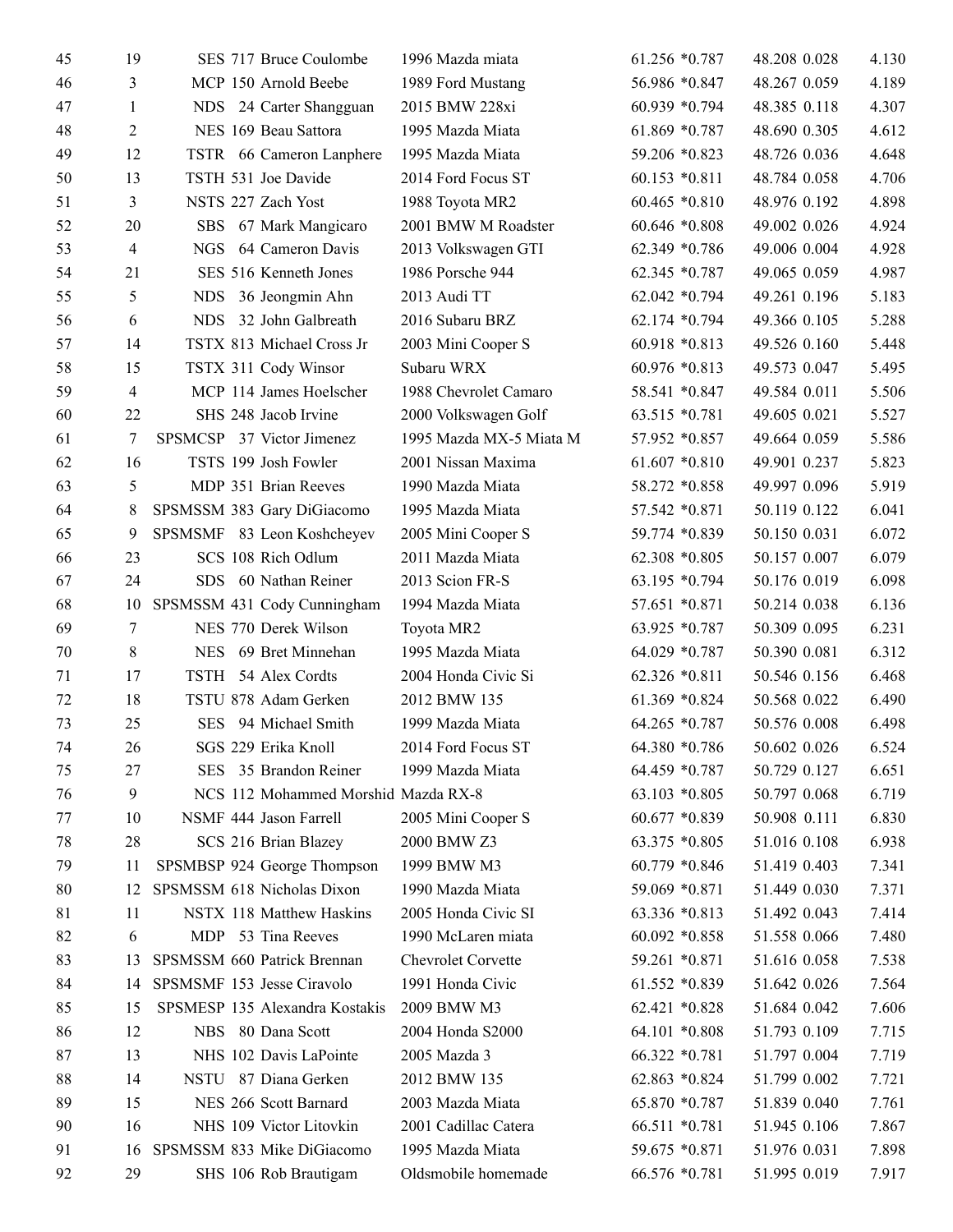| 45 | 19             |  | SES 717 Bruce Coulombe              | 1996 Mazda miata        | $61.256 * 0.787$ | 48.208 0.028 | 4.130 |
|----|----------------|--|-------------------------------------|-------------------------|------------------|--------------|-------|
| 46 | 3              |  | MCP 150 Arnold Beebe                | 1989 Ford Mustang       | 56.986 *0.847    | 48.267 0.059 | 4.189 |
| 47 | 1              |  | NDS 24 Carter Shangguan             | 2015 BMW 228xi          | 60.939 *0.794    | 48.385 0.118 | 4.307 |
| 48 | 2              |  | NES 169 Beau Sattora                | 1995 Mazda Miata        | 61.869 *0.787    | 48.690 0.305 | 4.612 |
| 49 | 12             |  | TSTR 66 Cameron Lanphere            | 1995 Mazda Miata        | 59.206 *0.823    | 48.726 0.036 | 4.648 |
| 50 | 13             |  | TSTH 531 Joe Davide                 | 2014 Ford Focus ST      | $60.153 * 0.811$ | 48.784 0.058 | 4.706 |
| 51 | 3              |  | NSTS 227 Zach Yost                  | 1988 Toyota MR2         | 60.465 *0.810    | 48.976 0.192 | 4.898 |
| 52 | 20             |  | SBS 67 Mark Mangicaro               | 2001 BMW M Roadster     | 60.646 *0.808    | 49.002 0.026 | 4.924 |
| 53 | $\overline{4}$ |  | NGS 64 Cameron Davis                | 2013 Volkswagen GTI     | 62.349 *0.786    | 49.006 0.004 | 4.928 |
| 54 | 21             |  | SES 516 Kenneth Jones               | 1986 Porsche 944        | 62.345 *0.787    | 49.065 0.059 | 4.987 |
| 55 | 5              |  | NDS 36 Jeongmin Ahn                 | 2013 Audi TT            | 62.042 *0.794    | 49.261 0.196 | 5.183 |
| 56 | 6              |  | NDS 32 John Galbreath               | 2016 Subaru BRZ         | 62.174 *0.794    | 49.366 0.105 | 5.288 |
| 57 | 14             |  | TSTX 813 Michael Cross Jr           | 2003 Mini Cooper S      | 60.918 *0.813    | 49.526 0.160 | 5.448 |
| 58 | 15             |  | TSTX 311 Cody Winsor                | Subaru WRX              | 60.976 *0.813    | 49.573 0.047 | 5.495 |
| 59 | $\overline{4}$ |  | MCP 114 James Hoelscher             | 1988 Chevrolet Camaro   | 58.541 *0.847    | 49.584 0.011 | 5.506 |
| 60 | 22             |  | SHS 248 Jacob Irvine                | 2000 Volkswagen Golf    | 63.515 *0.781    | 49.605 0.021 | 5.527 |
| 61 | 7              |  | SPSMCSP 37 Victor Jimenez           | 1995 Mazda MX-5 Miata M | 57.952 *0.857    | 49.664 0.059 | 5.586 |
| 62 | 16             |  | TSTS 199 Josh Fowler                | 2001 Nissan Maxima      | $61.607 * 0.810$ | 49.901 0.237 | 5.823 |
| 63 | 5              |  | MDP 351 Brian Reeves                | 1990 Mazda Miata        | 58.272 *0.858    | 49.997 0.096 | 5.919 |
| 64 | 8              |  | SPSMSSM 383 Gary DiGiacomo          | 1995 Mazda Miata        | 57.542 *0.871    | 50.119 0.122 | 6.041 |
| 65 | 9              |  | SPSMSMF 83 Leon Koshcheyev          | 2005 Mini Cooper S      | 59.774 *0.839    | 50.150 0.031 | 6.072 |
| 66 | 23             |  | SCS 108 Rich Odlum                  | 2011 Mazda Miata        | 62.308 *0.805    | 50.157 0.007 | 6.079 |
| 67 | 24             |  | SDS 60 Nathan Reiner                | 2013 Scion FR-S         | 63.195 *0.794    | 50.176 0.019 | 6.098 |
| 68 | 10             |  | SPSMSSM 431 Cody Cunningham         | 1994 Mazda Miata        | 57.651 *0.871    | 50.214 0.038 | 6.136 |
| 69 | 7              |  | NES 770 Derek Wilson                | Toyota MR2              | 63.925 *0.787    | 50.309 0.095 | 6.231 |
| 70 | 8              |  | NES 69 Bret Minnehan                | 1995 Mazda Miata        | 64.029 *0.787    | 50.390 0.081 | 6.312 |
| 71 | 17             |  | TSTH 54 Alex Cordts                 | 2004 Honda Civic Si     | 62.326 *0.811    | 50.546 0.156 | 6.468 |
| 72 | 18             |  | TSTU 878 Adam Gerken                | 2012 BMW 135            | 61.369 *0.824    | 50.568 0.022 | 6.490 |
| 73 | 25             |  | SES 94 Michael Smith                | 1999 Mazda Miata        | 64.265 *0.787    | 50.576 0.008 | 6.498 |
| 74 | 26             |  | SGS 229 Erika Knoll                 | 2014 Ford Focus ST      | 64.380 *0.786    | 50.602 0.026 | 6.524 |
| 75 | 27             |  | SES 35 Brandon Reiner               | 1999 Mazda Miata        | 64.459 *0.787    | 50.729 0.127 | 6.651 |
| 76 | 9              |  | NCS 112 Mohammed Morshid Mazda RX-8 |                         | $63.103 * 0.805$ | 50.797 0.068 | 6.719 |
| 77 | 10             |  | NSMF 444 Jason Farrell              | 2005 Mini Cooper S      | 60.677 *0.839    | 50.908 0.111 | 6.830 |
| 78 | 28             |  | SCS 216 Brian Blazey                | 2000 BMW Z3             | 63.375 *0.805    | 51.016 0.108 | 6.938 |
| 79 | 11             |  | SPSMBSP 924 George Thompson         | 1999 BMW M3             | 60.779 *0.846    | 51.419 0.403 | 7.341 |
| 80 | 12             |  | SPSMSSM 618 Nicholas Dixon          | 1990 Mazda Miata        | 59.069 *0.871    | 51.449 0.030 | 7.371 |
| 81 | 11             |  | NSTX 118 Matthew Haskins            | 2005 Honda Civic SI     | 63.336 *0.813    | 51.492 0.043 | 7.414 |
| 82 | 6              |  | MDP 53 Tina Reeves                  | 1990 McLaren miata      | $60.092 * 0.858$ | 51.558 0.066 | 7.480 |
| 83 | 13             |  | SPSMSSM 660 Patrick Brennan         | Chevrolet Corvette      | 59.261 *0.871    | 51.616 0.058 | 7.538 |
| 84 | 14             |  | SPSMSMF 153 Jesse Ciravolo          | 1991 Honda Civic        | $61.552 * 0.839$ | 51.642 0.026 | 7.564 |
| 85 | 15             |  | SPSMESP 135 Alexandra Kostakis      | 2009 BMW M3             | 62.421 *0.828    | 51.684 0.042 | 7.606 |
| 86 | 12             |  | NBS 80 Dana Scott                   | 2004 Honda S2000        | 64.101 *0.808    | 51.793 0.109 | 7.715 |
| 87 | 13             |  | NHS 102 Davis LaPointe              | 2005 Mazda 3            | 66.322 *0.781    | 51.797 0.004 | 7.719 |
| 88 | 14             |  | NSTU 87 Diana Gerken                | 2012 BMW 135            | 62.863 *0.824    | 51.799 0.002 | 7.721 |
| 89 | 15             |  | NES 266 Scott Barnard               | 2003 Mazda Miata        | 65.870 *0.787    | 51.839 0.040 | 7.761 |
| 90 | 16             |  | NHS 109 Victor Litovkin             | 2001 Cadillac Catera    | 66.511 *0.781    | 51.945 0.106 | 7.867 |
| 91 | 16             |  | SPSMSSM 833 Mike DiGiacomo          | 1995 Mazda Miata        | 59.675 *0.871    | 51.976 0.031 | 7.898 |
| 92 | 29             |  | SHS 106 Rob Brautigam               | Oldsmobile homemade     | 66.576 *0.781    | 51.995 0.019 | 7.917 |